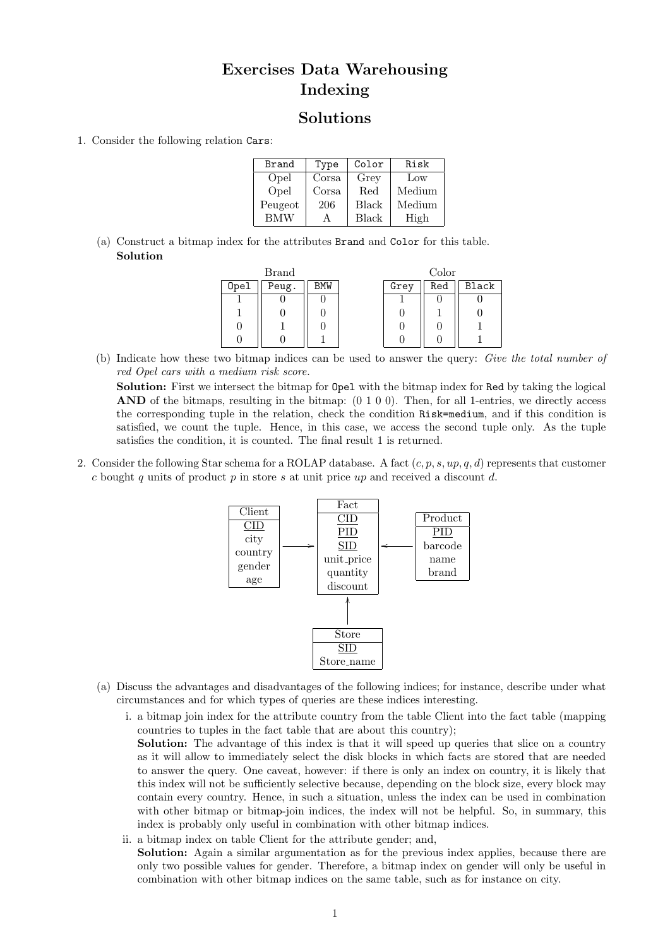## Exercises Data Warehousing Indexing

## Solutions

1. Consider the following relation Cars:

| Brand      | Type  | Color        | Risk   |  |
|------------|-------|--------------|--------|--|
| Opel       | Corsa | Grey         | Low    |  |
| Opel       | Corsa | Red          | Medium |  |
| Peugeot    | 206   | Black        | Medium |  |
| <b>BMW</b> |       | <b>Black</b> | High   |  |

(a) Construct a bitmap index for the attributes Brand and Color for this table. Solution

| <b>Brand</b> |       |            | Color |      |     |       |
|--------------|-------|------------|-------|------|-----|-------|
| Opel         | Peug. | <b>BMW</b> |       | Grey | Red | Black |
|              |       |            |       |      |     |       |
|              |       |            |       |      |     |       |
|              |       |            |       |      |     |       |
|              |       |            |       |      |     |       |

(b) Indicate how these two bitmap indices can be used to answer the query: Give the total number of red Opel cars with a medium risk score.

Solution: First we intersect the bitmap for Opel with the bitmap index for Red by taking the logical AND of the bitmaps, resulting in the bitmap:  $(0 1 0 0)$ . Then, for all 1-entries, we directly access the corresponding tuple in the relation, check the condition Risk=medium, and if this condition is satisfied, we count the tuple. Hence, in this case, we access the second tuple only. As the tuple satisfies the condition, it is counted. The final result 1 is returned.

2. Consider the following Star schema for a ROLAP database. A fact  $(c, p, s, up, q, d)$  represents that customer c bought q units of product  $p$  in store s at unit price up and received a discount d.



- (a) Discuss the advantages and disadvantages of the following indices; for instance, describe under what circumstances and for which types of queries are these indices interesting.
	- i. a bitmap join index for the attribute country from the table Client into the fact table (mapping countries to tuples in the fact table that are about this country); Solution: The advantage of this index is that it will speed up queries that slice on a country as it will allow to immediately select the disk blocks in which facts are stored that are needed to answer the query. One caveat, however: if there is only an index on country, it is likely that this index will not be sufficiently selective because, depending on the block size, every block may contain every country. Hence, in such a situation, unless the index can be used in combination with other bitmap or bitmap-join indices, the index will not be helpful. So, in summary, this
	- ii. a bitmap index on table Client for the attribute gender; and, Solution: Again a similar argumentation as for the previous index applies, because there are only two possible values for gender. Therefore, a bitmap index on gender will only be useful in combination with other bitmap indices on the same table, such as for instance on city.

index is probably only useful in combination with other bitmap indices.